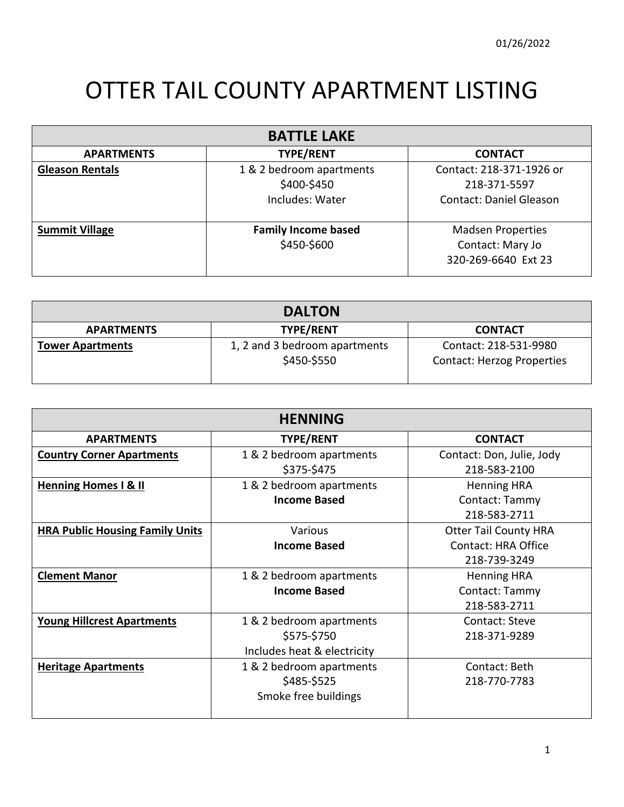## OTTER TAIL COUNTY APARTMENT LISTING

| <b>BATTLE LAKE</b>     |                                                            |                                                                            |
|------------------------|------------------------------------------------------------|----------------------------------------------------------------------------|
| <b>APARTMENTS</b>      | <b>TYPE/RENT</b>                                           | <b>CONTACT</b>                                                             |
| <b>Gleason Rentals</b> | 1 & 2 bedroom apartments<br>\$400-\$450<br>Includes: Water | Contact: 218-371-1926 or<br>218-371-5597<br><b>Contact: Daniel Gleason</b> |
| <b>Summit Village</b>  | <b>Family Income based</b><br>\$450-\$600                  | <b>Madsen Properties</b><br>Contact: Mary Jo<br>320-269-6640 Ext 23        |

| <b>DALTON</b>           |                                              |                                                            |
|-------------------------|----------------------------------------------|------------------------------------------------------------|
| <b>APARTMENTS</b>       | <b>TYPE/RENT</b>                             | <b>CONTACT</b>                                             |
| <b>Tower Apartments</b> | 1, 2 and 3 bedroom apartments<br>\$450-\$550 | Contact: 218-531-9980<br><b>Contact: Herzog Properties</b> |

| <b>HENNING</b>                         |                             |                              |
|----------------------------------------|-----------------------------|------------------------------|
| <b>APARTMENTS</b>                      | <b>TYPE/RENT</b>            | <b>CONTACT</b>               |
| <b>Country Corner Apartments</b>       | 1 & 2 bedroom apartments    | Contact: Don, Julie, Jody    |
|                                        | \$375-\$475                 | 218-583-2100                 |
| <b>Henning Homes I &amp; II</b>        | 1 & 2 bedroom apartments    | <b>Henning HRA</b>           |
|                                        | <b>Income Based</b>         | Contact: Tammy               |
|                                        |                             | 218-583-2711                 |
| <b>HRA Public Housing Family Units</b> | Various                     | <b>Otter Tail County HRA</b> |
|                                        | <b>Income Based</b>         | <b>Contact: HRA Office</b>   |
|                                        |                             | 218-739-3249                 |
| <b>Clement Manor</b>                   | 1 & 2 bedroom apartments    | <b>Henning HRA</b>           |
|                                        | <b>Income Based</b>         | Contact: Tammy               |
|                                        |                             | 218-583-2711                 |
| <b>Young Hillcrest Apartments</b>      | 1 & 2 bedroom apartments    | Contact: Steve               |
|                                        | \$575-\$750                 | 218-371-9289                 |
|                                        | Includes heat & electricity |                              |
| <b>Heritage Apartments</b>             | 1 & 2 bedroom apartments    | Contact: Beth                |
|                                        | \$485-\$525                 | 218-770-7783                 |
|                                        | Smoke free buildings        |                              |
|                                        |                             |                              |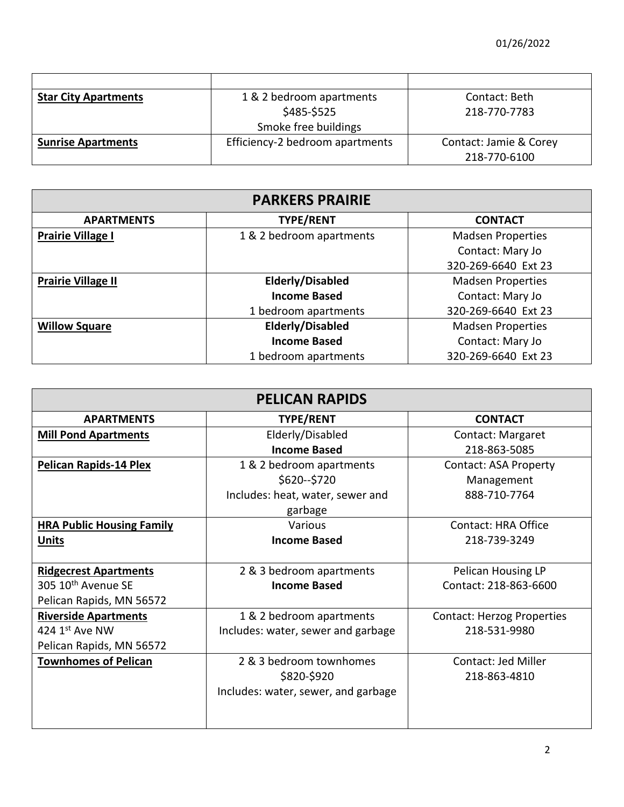| <b>Star City Apartments</b> | 1 & 2 bedroom apartments        | Contact: Beth          |
|-----------------------------|---------------------------------|------------------------|
|                             | \$485-\$525                     | 218-770-7783           |
|                             | Smoke free buildings            |                        |
| <b>Sunrise Apartments</b>   | Efficiency-2 bedroom apartments | Contact: Jamie & Corey |
|                             |                                 | 218-770-6100           |

| <b>PARKERS PRAIRIE</b>    |                          |                          |
|---------------------------|--------------------------|--------------------------|
| <b>APARTMENTS</b>         | <b>TYPE/RENT</b>         | <b>CONTACT</b>           |
| <b>Prairie Village I</b>  | 1 & 2 bedroom apartments | <b>Madsen Properties</b> |
|                           |                          | Contact: Mary Jo         |
|                           |                          | 320-269-6640 Ext 23      |
| <b>Prairie Village II</b> | Elderly/Disabled         | <b>Madsen Properties</b> |
|                           | <b>Income Based</b>      | Contact: Mary Jo         |
|                           | 1 bedroom apartments     | 320-269-6640 Ext 23      |
| <b>Willow Square</b>      | Elderly/Disabled         | <b>Madsen Properties</b> |
|                           | <b>Income Based</b>      | Contact: Mary Jo         |
|                           | 1 bedroom apartments     | 320-269-6640 Ext 23      |

| <b>PELICAN RAPIDS</b>            |                                     |                                   |
|----------------------------------|-------------------------------------|-----------------------------------|
| <b>APARTMENTS</b>                | <b>TYPE/RENT</b>                    | <b>CONTACT</b>                    |
| <b>Mill Pond Apartments</b>      | Elderly/Disabled                    | Contact: Margaret                 |
|                                  | <b>Income Based</b>                 | 218-863-5085                      |
| <b>Pelican Rapids-14 Plex</b>    | 1 & 2 bedroom apartments            | <b>Contact: ASA Property</b>      |
|                                  | \$620 -- \$720                      | Management                        |
|                                  | Includes: heat, water, sewer and    | 888-710-7764                      |
|                                  | garbage                             |                                   |
| <b>HRA Public Housing Family</b> | Various                             | Contact: HRA Office               |
| <b>Units</b>                     | <b>Income Based</b>                 | 218-739-3249                      |
|                                  |                                     |                                   |
| <b>Ridgecrest Apartments</b>     | 2 & 3 bedroom apartments            | Pelican Housing LP                |
| 305 10 <sup>th</sup> Avenue SE   | <b>Income Based</b>                 | Contact: 218-863-6600             |
| Pelican Rapids, MN 56572         |                                     |                                   |
| <b>Riverside Apartments</b>      | 1 & 2 bedroom apartments            | <b>Contact: Herzog Properties</b> |
| 424 $1st$ Ave NW                 | Includes: water, sewer and garbage  | 218-531-9980                      |
| Pelican Rapids, MN 56572         |                                     |                                   |
| <b>Townhomes of Pelican</b>      | 2 & 3 bedroom townhomes             | Contact: Jed Miller               |
|                                  | \$820-\$920                         | 218-863-4810                      |
|                                  | Includes: water, sewer, and garbage |                                   |
|                                  |                                     |                                   |
|                                  |                                     |                                   |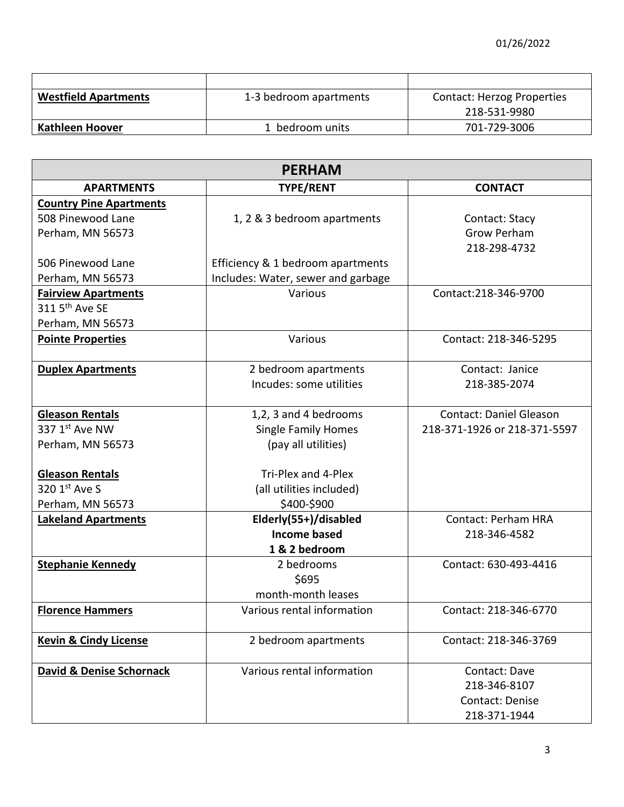| <b>Westfield Apartments</b> | 1-3 bedroom apartments | <b>Contact: Herzog Properties</b> |
|-----------------------------|------------------------|-----------------------------------|
|                             |                        | 218-531-9980                      |
| <b>Kathleen Hoover</b>      | 1 bedroom units        | 701-729-3006                      |

| <b>PERHAM</b>                       |                                    |                                |
|-------------------------------------|------------------------------------|--------------------------------|
| <b>APARTMENTS</b>                   | <b>TYPE/RENT</b>                   | <b>CONTACT</b>                 |
| <b>Country Pine Apartments</b>      |                                    |                                |
| 508 Pinewood Lane                   | 1, 2 & 3 bedroom apartments        | Contact: Stacy                 |
| Perham, MN 56573                    |                                    | <b>Grow Perham</b>             |
|                                     |                                    | 218-298-4732                   |
| 506 Pinewood Lane                   | Efficiency & 1 bedroom apartments  |                                |
| Perham, MN 56573                    | Includes: Water, sewer and garbage |                                |
| <b>Fairview Apartments</b>          | Various                            | Contact:218-346-9700           |
| 311 5 <sup>th</sup> Ave SE          |                                    |                                |
| Perham, MN 56573                    |                                    |                                |
| <b>Pointe Properties</b>            | Various                            | Contact: 218-346-5295          |
|                                     |                                    |                                |
| <b>Duplex Apartments</b>            | 2 bedroom apartments               | Contact: Janice                |
|                                     | Incudes: some utilities            | 218-385-2074                   |
|                                     |                                    |                                |
| <b>Gleason Rentals</b>              | 1,2, 3 and 4 bedrooms              | <b>Contact: Daniel Gleason</b> |
| 337 1st Ave NW                      | <b>Single Family Homes</b>         | 218-371-1926 or 218-371-5597   |
| Perham, MN 56573                    | (pay all utilities)                |                                |
|                                     |                                    |                                |
| <b>Gleason Rentals</b>              | Tri-Plex and 4-Plex                |                                |
| 320 1st Ave S                       | (all utilities included)           |                                |
| Perham, MN 56573                    | \$400-\$900                        |                                |
| <b>Lakeland Apartments</b>          | Elderly(55+)/disabled              | <b>Contact: Perham HRA</b>     |
|                                     | <b>Income based</b>                | 218-346-4582                   |
|                                     | 1 & 2 bedroom                      |                                |
| <b>Stephanie Kennedy</b>            | 2 bedrooms                         | Contact: 630-493-4416          |
|                                     | \$695                              |                                |
|                                     | month-month leases                 |                                |
| <b>Florence Hammers</b>             | Various rental information         | Contact: 218-346-6770          |
|                                     |                                    |                                |
| <b>Kevin &amp; Cindy License</b>    | 2 bedroom apartments               | Contact: 218-346-3769          |
|                                     | Various rental information         |                                |
| <b>David &amp; Denise Schornack</b> |                                    | Contact: Dave                  |
|                                     |                                    | 218-346-8107                   |
|                                     |                                    | Contact: Denise                |
|                                     |                                    | 218-371-1944                   |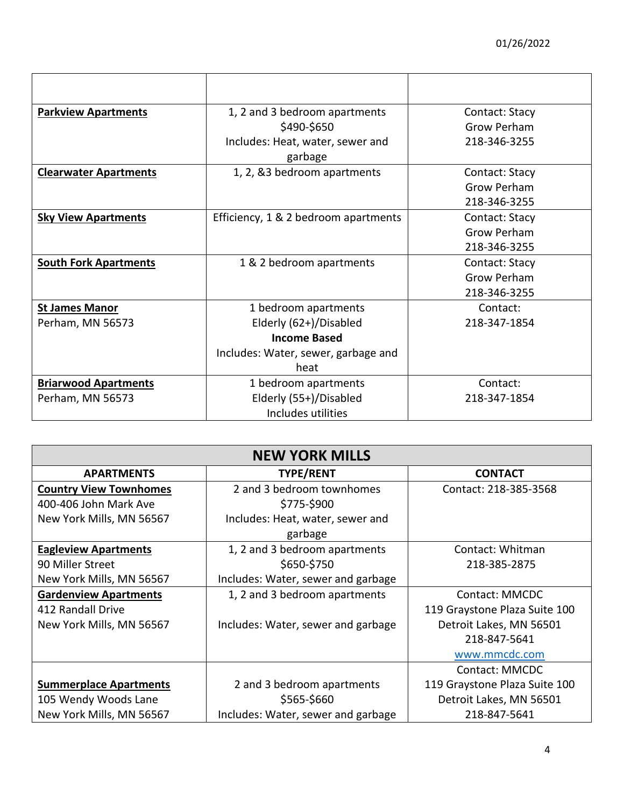| <b>Parkview Apartments</b>   | 1, 2 and 3 bedroom apartments        | Contact: Stacy     |
|------------------------------|--------------------------------------|--------------------|
|                              | \$490-\$650                          | <b>Grow Perham</b> |
|                              | Includes: Heat, water, sewer and     | 218-346-3255       |
|                              | garbage                              |                    |
| <b>Clearwater Apartments</b> | 1, 2, &3 bedroom apartments          | Contact: Stacy     |
|                              |                                      | Grow Perham        |
|                              |                                      | 218-346-3255       |
| <b>Sky View Apartments</b>   | Efficiency, 1 & 2 bedroom apartments | Contact: Stacy     |
|                              |                                      | Grow Perham        |
|                              |                                      | 218-346-3255       |
| <b>South Fork Apartments</b> | 1 & 2 bedroom apartments             | Contact: Stacy     |
|                              |                                      | Grow Perham        |
|                              |                                      | 218-346-3255       |
| <b>St James Manor</b>        | 1 bedroom apartments                 | Contact:           |
| Perham, MN 56573             | Elderly (62+)/Disabled               | 218-347-1854       |
|                              | <b>Income Based</b>                  |                    |
|                              | Includes: Water, sewer, garbage and  |                    |
|                              | heat                                 |                    |
| <b>Briarwood Apartments</b>  | 1 bedroom apartments                 | Contact:           |
| Perham, MN 56573             | Elderly (55+)/Disabled               | 218-347-1854       |
|                              | Includes utilities                   |                    |

| <b>NEW YORK MILLS</b>         |                                    |                               |
|-------------------------------|------------------------------------|-------------------------------|
| <b>APARTMENTS</b>             | <b>TYPE/RENT</b>                   | <b>CONTACT</b>                |
| <b>Country View Townhomes</b> | 2 and 3 bedroom townhomes          | Contact: 218-385-3568         |
| 400-406 John Mark Ave         | \$775-\$900                        |                               |
| New York Mills, MN 56567      | Includes: Heat, water, sewer and   |                               |
|                               | garbage                            |                               |
| <b>Eagleview Apartments</b>   | 1, 2 and 3 bedroom apartments      | Contact: Whitman              |
| 90 Miller Street              | \$650-\$750                        | 218-385-2875                  |
| New York Mills, MN 56567      | Includes: Water, sewer and garbage |                               |
| <b>Gardenview Apartments</b>  | 1, 2 and 3 bedroom apartments      | Contact: MMCDC                |
| 412 Randall Drive             |                                    | 119 Graystone Plaza Suite 100 |
| New York Mills, MN 56567      | Includes: Water, sewer and garbage | Detroit Lakes, MN 56501       |
|                               |                                    | 218-847-5641                  |
|                               |                                    | www.mmcdc.com                 |
|                               |                                    | Contact: MMCDC                |
| <b>Summerplace Apartments</b> | 2 and 3 bedroom apartments         | 119 Graystone Plaza Suite 100 |
| 105 Wendy Woods Lane          | \$565-\$660                        | Detroit Lakes, MN 56501       |
| New York Mills, MN 56567      | Includes: Water, sewer and garbage | 218-847-5641                  |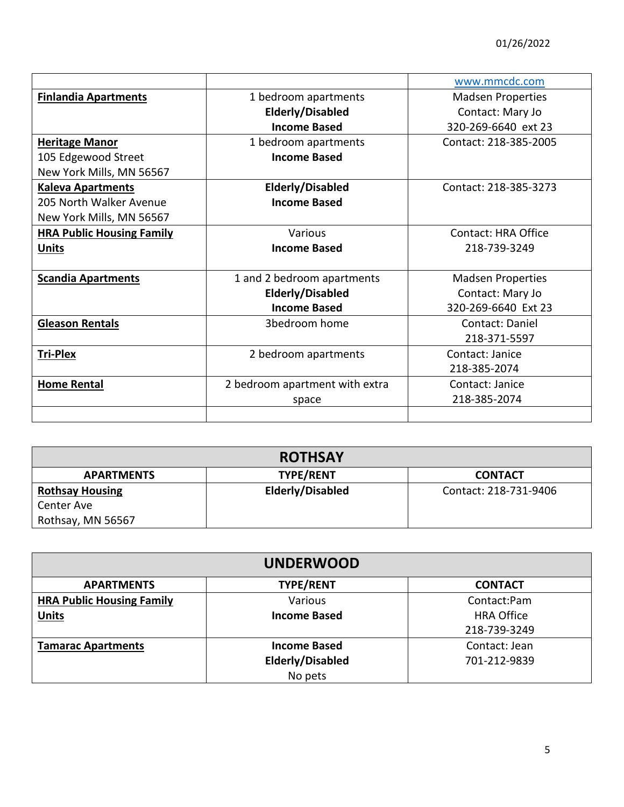|                                  |                                | www.mmcdc.com            |
|----------------------------------|--------------------------------|--------------------------|
| <b>Finlandia Apartments</b>      | 1 bedroom apartments           | <b>Madsen Properties</b> |
|                                  | Elderly/Disabled               | Contact: Mary Jo         |
|                                  | <b>Income Based</b>            | 320-269-6640 ext 23      |
| <b>Heritage Manor</b>            | 1 bedroom apartments           | Contact: 218-385-2005    |
| 105 Edgewood Street              | <b>Income Based</b>            |                          |
| New York Mills, MN 56567         |                                |                          |
| <b>Kaleva Apartments</b>         | <b>Elderly/Disabled</b>        | Contact: 218-385-3273    |
| 205 North Walker Avenue          | <b>Income Based</b>            |                          |
| New York Mills, MN 56567         |                                |                          |
| <b>HRA Public Housing Family</b> | Various                        | Contact: HRA Office      |
| <b>Units</b>                     | <b>Income Based</b>            | 218-739-3249             |
|                                  |                                |                          |
| <b>Scandia Apartments</b>        | 1 and 2 bedroom apartments     | <b>Madsen Properties</b> |
|                                  | Elderly/Disabled               | Contact: Mary Jo         |
|                                  | <b>Income Based</b>            | 320-269-6640 Ext 23      |
| <b>Gleason Rentals</b>           | 3bedroom home                  | Contact: Daniel          |
|                                  |                                | 218-371-5597             |
| <b>Tri-Plex</b>                  | 2 bedroom apartments           | Contact: Janice          |
|                                  |                                | 218-385-2074             |
| <b>Home Rental</b>               | 2 bedroom apartment with extra | Contact: Janice          |
|                                  | space                          | 218-385-2074             |
|                                  |                                |                          |

| <b>ROTHSAY</b>         |                  |                       |
|------------------------|------------------|-----------------------|
| <b>APARTMENTS</b>      | <b>TYPE/RENT</b> | <b>CONTACT</b>        |
| <b>Rothsay Housing</b> | Elderly/Disabled | Contact: 218-731-9406 |
| Center Ave             |                  |                       |
| Rothsay, MN 56567      |                  |                       |

| <b>UNDERWOOD</b>                 |                         |                   |  |
|----------------------------------|-------------------------|-------------------|--|
| <b>APARTMENTS</b>                | <b>TYPE/RENT</b>        | <b>CONTACT</b>    |  |
| <b>HRA Public Housing Family</b> | Various                 | Contact:Pam       |  |
| <b>Units</b>                     | <b>Income Based</b>     | <b>HRA Office</b> |  |
|                                  |                         | 218-739-3249      |  |
| <b>Tamarac Apartments</b>        | <b>Income Based</b>     | Contact: Jean     |  |
|                                  | <b>Elderly/Disabled</b> | 701-212-9839      |  |
|                                  | No pets                 |                   |  |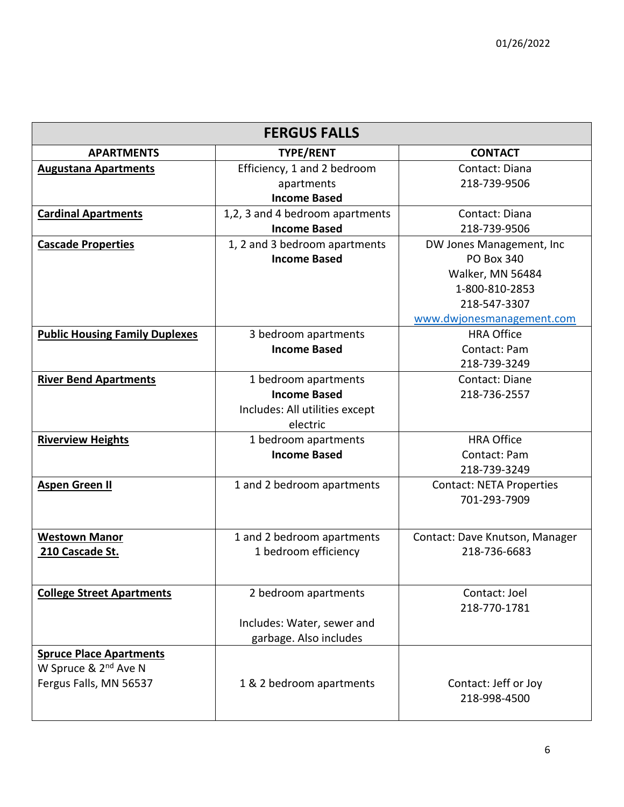| <b>FERGUS FALLS</b>                   |                                 |                                 |
|---------------------------------------|---------------------------------|---------------------------------|
| <b>APARTMENTS</b>                     | <b>TYPE/RENT</b>                | <b>CONTACT</b>                  |
| <b>Augustana Apartments</b>           | Efficiency, 1 and 2 bedroom     | Contact: Diana                  |
|                                       | apartments                      | 218-739-9506                    |
|                                       | <b>Income Based</b>             |                                 |
| <b>Cardinal Apartments</b>            | 1,2, 3 and 4 bedroom apartments | Contact: Diana                  |
|                                       | <b>Income Based</b>             | 218-739-9506                    |
| <b>Cascade Properties</b>             | 1, 2 and 3 bedroom apartments   | DW Jones Management, Inc.       |
|                                       | <b>Income Based</b>             | <b>PO Box 340</b>               |
|                                       |                                 | Walker, MN 56484                |
|                                       |                                 | 1-800-810-2853                  |
|                                       |                                 | 218-547-3307                    |
|                                       |                                 | www.dwjonesmanagement.com       |
| <b>Public Housing Family Duplexes</b> | 3 bedroom apartments            | <b>HRA Office</b>               |
|                                       | <b>Income Based</b>             | Contact: Pam                    |
|                                       |                                 | 218-739-3249                    |
| <b>River Bend Apartments</b>          | 1 bedroom apartments            | Contact: Diane                  |
|                                       | <b>Income Based</b>             | 218-736-2557                    |
|                                       | Includes: All utilities except  |                                 |
|                                       | electric                        |                                 |
| <b>Riverview Heights</b>              | 1 bedroom apartments            | <b>HRA Office</b>               |
|                                       | <b>Income Based</b>             | Contact: Pam                    |
|                                       |                                 | 218-739-3249                    |
| <b>Aspen Green II</b>                 | 1 and 2 bedroom apartments      | <b>Contact: NETA Properties</b> |
|                                       |                                 | 701-293-7909                    |
|                                       |                                 |                                 |
| <b>Westown Manor</b>                  | 1 and 2 bedroom apartments      | Contact: Dave Knutson, Manager  |
| 210 Cascade St.                       | 1 bedroom efficiency            | 218-736-6683                    |
|                                       |                                 |                                 |
|                                       |                                 |                                 |
| <b>College Street Apartments</b>      | 2 bedroom apartments            | Contact: Joel                   |
|                                       |                                 | 218-770-1781                    |
|                                       | Includes: Water, sewer and      |                                 |
|                                       | garbage. Also includes          |                                 |
| <b>Spruce Place Apartments</b>        |                                 |                                 |
| W Spruce & 2 <sup>nd</sup> Ave N      |                                 |                                 |
| Fergus Falls, MN 56537                | 1 & 2 bedroom apartments        | Contact: Jeff or Joy            |
|                                       |                                 | 218-998-4500                    |
|                                       |                                 |                                 |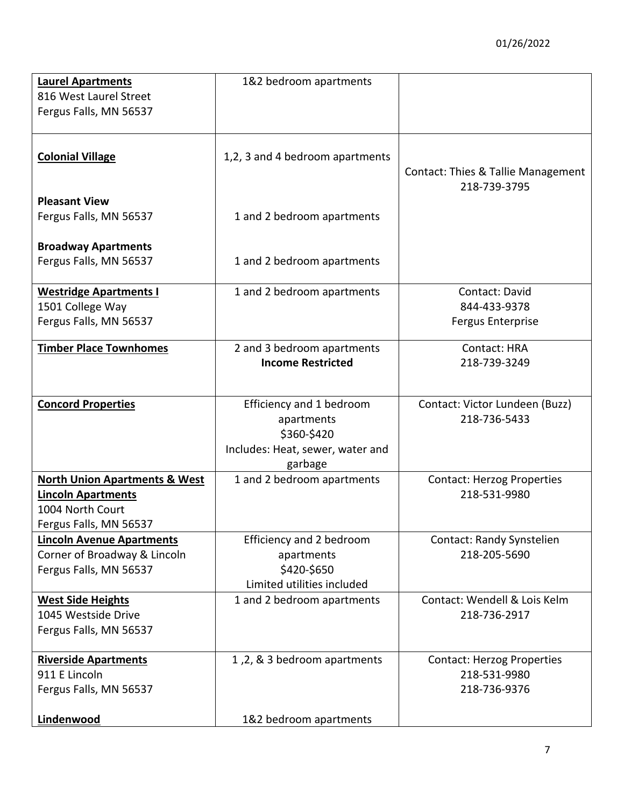| <b>Laurel Apartments</b>                               | 1&2 bedroom apartments           |                                           |
|--------------------------------------------------------|----------------------------------|-------------------------------------------|
| 816 West Laurel Street                                 |                                  |                                           |
| Fergus Falls, MN 56537                                 |                                  |                                           |
|                                                        |                                  |                                           |
| <b>Colonial Village</b>                                | 1,2, 3 and 4 bedroom apartments  |                                           |
|                                                        |                                  | Contact: Thies & Tallie Management        |
|                                                        |                                  | 218-739-3795                              |
| <b>Pleasant View</b>                                   |                                  |                                           |
| Fergus Falls, MN 56537                                 | 1 and 2 bedroom apartments       |                                           |
| <b>Broadway Apartments</b>                             |                                  |                                           |
| Fergus Falls, MN 56537                                 | 1 and 2 bedroom apartments       |                                           |
|                                                        |                                  |                                           |
| <b>Westridge Apartments I</b>                          | 1 and 2 bedroom apartments       | Contact: David                            |
| 1501 College Way                                       |                                  | 844-433-9378                              |
| Fergus Falls, MN 56537                                 |                                  | <b>Fergus Enterprise</b>                  |
| <b>Timber Place Townhomes</b>                          | 2 and 3 bedroom apartments       | Contact: HRA                              |
|                                                        | <b>Income Restricted</b>         | 218-739-3249                              |
|                                                        |                                  |                                           |
| <b>Concord Properties</b>                              | Efficiency and 1 bedroom         | Contact: Victor Lundeen (Buzz)            |
|                                                        | apartments                       | 218-736-5433                              |
|                                                        | \$360-\$420                      |                                           |
|                                                        | Includes: Heat, sewer, water and |                                           |
|                                                        | garbage                          |                                           |
| <b>North Union Apartments &amp; West</b>               | 1 and 2 bedroom apartments       | <b>Contact: Herzog Properties</b>         |
| <b>Lincoln Apartments</b>                              |                                  | 218-531-9980                              |
| 1004 North Court                                       |                                  |                                           |
| Fergus Falls, MN 56537                                 |                                  |                                           |
| <b>Lincoln Avenue Apartments</b>                       | Efficiency and 2 bedroom         | Contact: Randy Synstelien<br>218-205-5690 |
| Corner of Broadway & Lincoln<br>Fergus Falls, MN 56537 | apartments<br>\$420-\$650        |                                           |
|                                                        | Limited utilities included       |                                           |
| <b>West Side Heights</b>                               | 1 and 2 bedroom apartments       | Contact: Wendell & Lois Kelm              |
| 1045 Westside Drive                                    |                                  | 218-736-2917                              |
| Fergus Falls, MN 56537                                 |                                  |                                           |
|                                                        |                                  |                                           |
| <b>Riverside Apartments</b>                            | 1,2, & 3 bedroom apartments      | <b>Contact: Herzog Properties</b>         |
| 911 E Lincoln                                          |                                  | 218-531-9980                              |
| Fergus Falls, MN 56537                                 |                                  | 218-736-9376                              |
| Lindenwood                                             | 1&2 bedroom apartments           |                                           |
|                                                        |                                  |                                           |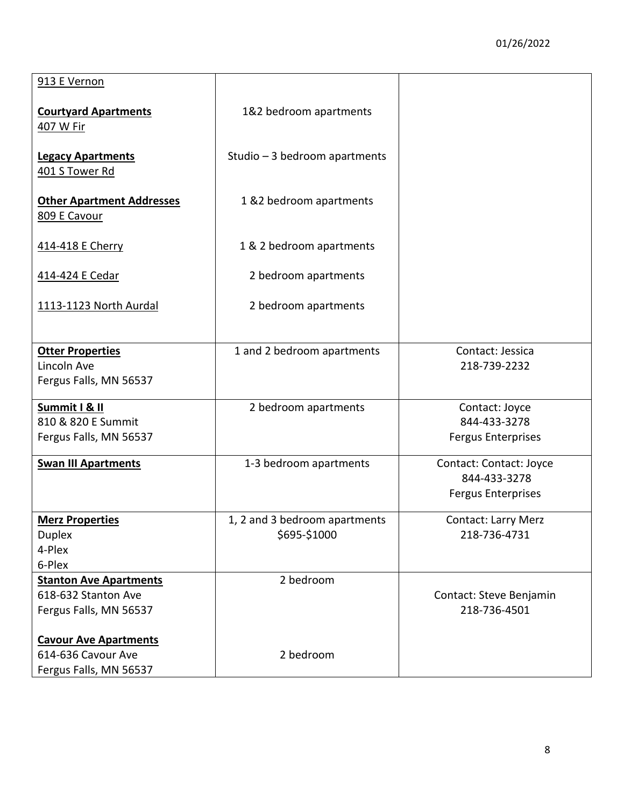| 913 E Vernon                                                                   |                                               |                                                                      |
|--------------------------------------------------------------------------------|-----------------------------------------------|----------------------------------------------------------------------|
| <b>Courtyard Apartments</b><br>407 W Fir                                       | 1&2 bedroom apartments                        |                                                                      |
| <b>Legacy Apartments</b><br>401 S Tower Rd                                     | Studio - 3 bedroom apartments                 |                                                                      |
| <b>Other Apartment Addresses</b><br>809 E Cavour                               | 1 &2 bedroom apartments                       |                                                                      |
| 414-418 E Cherry                                                               | 1 & 2 bedroom apartments                      |                                                                      |
| 414-424 E Cedar                                                                | 2 bedroom apartments                          |                                                                      |
| 1113-1123 North Aurdal                                                         | 2 bedroom apartments                          |                                                                      |
| <b>Otter Properties</b><br>Lincoln Ave<br>Fergus Falls, MN 56537               | 1 and 2 bedroom apartments                    | Contact: Jessica<br>218-739-2232                                     |
| Summit I & II<br>810 & 820 E Summit<br>Fergus Falls, MN 56537                  | 2 bedroom apartments                          | Contact: Joyce<br>844-433-3278<br><b>Fergus Enterprises</b>          |
| <b>Swan III Apartments</b>                                                     | 1-3 bedroom apartments                        | Contact: Contact: Joyce<br>844-433-3278<br><b>Fergus Enterprises</b> |
| <b>Merz Properties</b><br><b>Duplex</b><br>4-Plex<br>6-Plex                    | 1, 2 and 3 bedroom apartments<br>\$695-\$1000 | <b>Contact: Larry Merz</b><br>218-736-4731                           |
| <b>Stanton Ave Apartments</b><br>618-632 Stanton Ave<br>Fergus Falls, MN 56537 | 2 bedroom                                     | Contact: Steve Benjamin<br>218-736-4501                              |
| <b>Cavour Ave Apartments</b><br>614-636 Cavour Ave<br>Fergus Falls, MN 56537   | 2 bedroom                                     |                                                                      |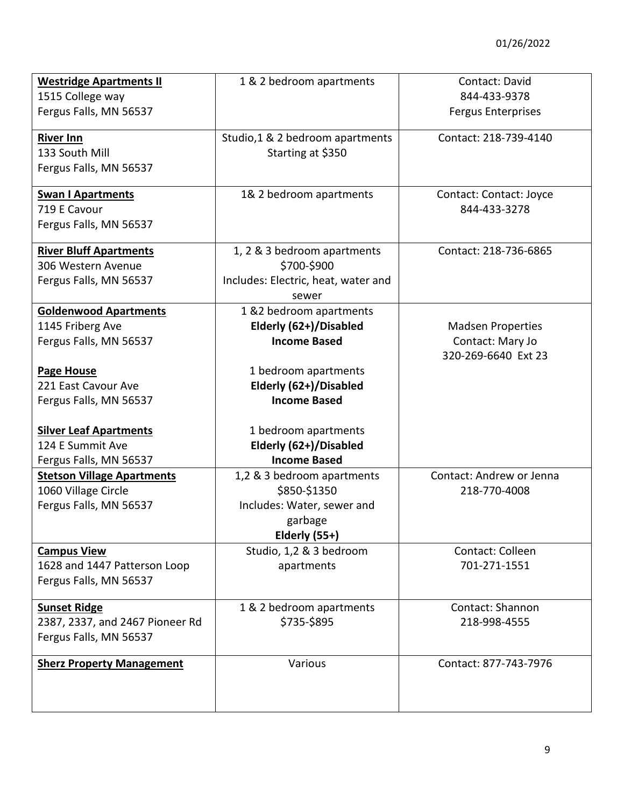| <b>Westridge Apartments II</b><br>1515 College way                                 | 1 & 2 bedroom apartments                                                                             | Contact: David<br>844-433-9378                                      |
|------------------------------------------------------------------------------------|------------------------------------------------------------------------------------------------------|---------------------------------------------------------------------|
| Fergus Falls, MN 56537                                                             |                                                                                                      | <b>Fergus Enterprises</b>                                           |
| <b>River Inn</b><br>133 South Mill<br>Fergus Falls, MN 56537                       | Studio, 1 & 2 bedroom apartments<br>Starting at \$350                                                | Contact: 218-739-4140                                               |
| <b>Swan I Apartments</b><br>719 E Cavour<br>Fergus Falls, MN 56537                 | 1& 2 bedroom apartments                                                                              | Contact: Contact: Joyce<br>844-433-3278                             |
| <b>River Bluff Apartments</b><br>306 Western Avenue<br>Fergus Falls, MN 56537      | 1, 2 & 3 bedroom apartments<br>\$700-\$900<br>Includes: Electric, heat, water and<br>sewer           | Contact: 218-736-6865                                               |
| <b>Goldenwood Apartments</b><br>1145 Friberg Ave<br>Fergus Falls, MN 56537         | 1 &2 bedroom apartments<br>Elderly (62+)/Disabled<br><b>Income Based</b>                             | <b>Madsen Properties</b><br>Contact: Mary Jo<br>320-269-6640 Ext 23 |
| Page House<br>221 East Cavour Ave<br>Fergus Falls, MN 56537                        | 1 bedroom apartments<br>Elderly (62+)/Disabled<br><b>Income Based</b>                                |                                                                     |
| <b>Silver Leaf Apartments</b><br>124 E Summit Ave<br>Fergus Falls, MN 56537        | 1 bedroom apartments<br>Elderly (62+)/Disabled<br><b>Income Based</b>                                |                                                                     |
| <b>Stetson Village Apartments</b><br>1060 Village Circle<br>Fergus Falls, MN 56537 | 1,2 & 3 bedroom apartments<br>\$850-\$1350<br>Includes: Water, sewer and<br>garbage<br>Elderly (55+) | Contact: Andrew or Jenna<br>218-770-4008                            |
| <b>Campus View</b><br>1628 and 1447 Patterson Loop<br>Fergus Falls, MN 56537       | Studio, 1,2 & 3 bedroom<br>apartments                                                                | Contact: Colleen<br>701-271-1551                                    |
| <b>Sunset Ridge</b><br>2387, 2337, and 2467 Pioneer Rd<br>Fergus Falls, MN 56537   | 1 & 2 bedroom apartments<br>\$735-\$895                                                              | Contact: Shannon<br>218-998-4555                                    |
| <b>Sherz Property Management</b>                                                   | Various                                                                                              | Contact: 877-743-7976                                               |